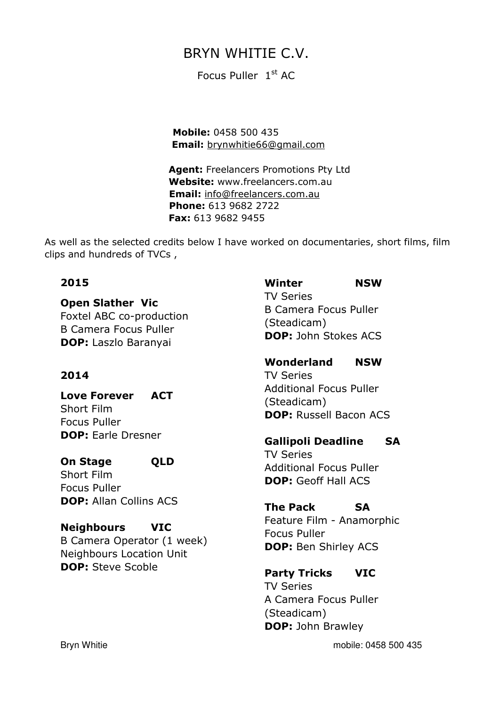# BRYN WHITIE C.V.

Focus Puller 1st AC

 Mobile: 0458 500 435 Email: brynwhitie66@gmail.com

Agent: Freelancers Promotions Pty Ltd Website: www.freelancers.com.au Email: info@freelancers.com.au Phone: 613 9682 2722 Fax: 613 9682 9455

As well as the selected credits below I have worked on documentaries, short films, film clips and hundreds of TVCs ,

#### 2015

Open Slather Vic Foxtel ABC co-production B Camera Focus Puller DOP: Laszlo Baranyai

### 2014

Love Forever ACT Short Film Focus Puller DOP: Earle Dresner

On Stage QLD Short Film Focus Puller DOP: Allan Collins ACS

Neighbours VIC B Camera Operator (1 week) Neighbours Location Unit DOP: Steve Scoble

Winter NSW TV Series B Camera Focus Puller (Steadicam) DOP: John Stokes ACS

Wonderland NSW TV Series Additional Focus Puller (Steadicam) DOP: Russell Bacon ACS

Gallipoli Deadline SA

TV Series Additional Focus Puller DOP: Geoff Hall ACS

The Pack SA

Feature Film - Anamorphic Focus Puller DOP: Ben Shirley ACS

Party Tricks VIC TV Series A Camera Focus Puller (Steadicam) **DOP: John Brawley** 

Bryn Whitie mobile: 0458 500 435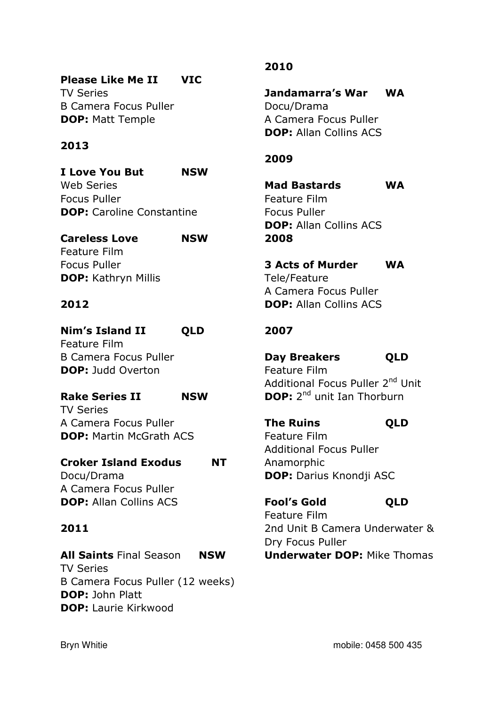# Please Like Me II VIC

TV Series B Camera Focus Puller DOP: Matt Temple

### 2013

I Love You But NSW Web Series Focus Puller DOP: Caroline Constantine

### Careless Love NSW Feature Film Focus Puller DOP: Kathryn Millis

#### 2012

# Nim's Island II QLD Feature Film

B Camera Focus Puller **DOP: Judd Overton** 

# Rake Series II NSW TV Series

A Camera Focus Puller DOP: Martin McGrath ACS

### Croker Island Exodus NT Docu/Drama

A Camera Focus Puller DOP: Allan Collins ACS

# 2011

All Saints Final Season NSW TV Series B Camera Focus Puller (12 weeks) DOP: John Platt DOP: Laurie Kirkwood

# 2010

Jandamarra's War WA Docu/Drama A Camera Focus Puller DOP: Allan Collins ACS

### 2009

Mad Bastards WA Feature Film Focus Puller DOP: Allan Collins ACS 2008

3 Acts of Murder WA Tele/Feature A Camera Focus Puller DOP: Allan Collins ACS

# 2007

Day Breakers **QLD** Feature Film Additional Focus Puller 2<sup>nd</sup> Unit DOP: 2<sup>nd</sup> unit Ian Thorburn

The Ruins QLD Feature Film Additional Focus Puller Anamorphic DOP: Darius Knondji ASC

Fool's Gold QLD Feature Film 2nd Unit B Camera Underwater & Dry Focus Puller Underwater DOP: Mike Thomas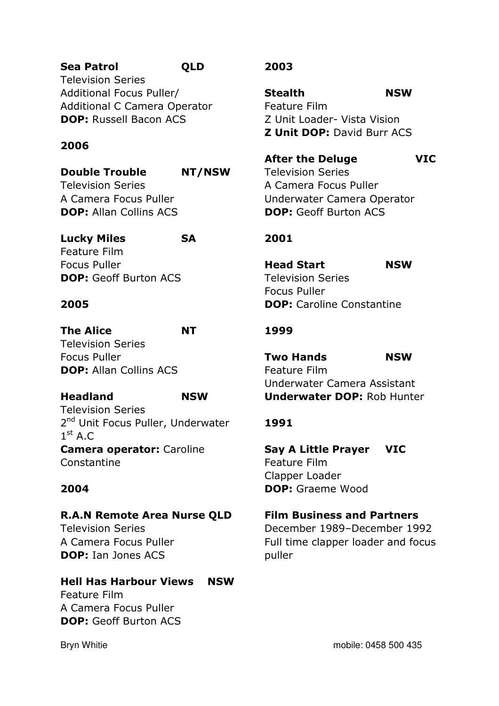# Sea Patrol **QLD**

Television Series Additional Focus Puller/ Additional C Camera Operator DOP: Russell Bacon ACS

### 2006

Double Trouble NT/NSW Television Series A Camera Focus Puller DOP: Allan Collins ACS

# Lucky Miles SA

Feature Film Focus Puller DOP: Geoff Burton ACS

#### 2005

The Alice **NT** Television Series Focus Puller DOP: Allan Collins ACS

### Headland NSW

Television Series 2<sup>nd</sup> Unit Focus Puller, Underwater  $1^{\text{st}}$  A.C Camera operator: Caroline Constantine

### 2004

R.A.N Remote Area Nurse QLD Television Series A Camera Focus Puller DOP: Ian Jones ACS

# Hell Has Harbour Views NSW

Feature Film A Camera Focus Puller DOP: Geoff Burton ACS

## 2003

Stealth NSW Feature Film Z Unit Loader- Vista Vision **Z Unit DOP: David Burr ACS** 

After the Deluge VIC Television Series A Camera Focus Puller Underwater Camera Operator DOP: Geoff Burton ACS

# 2001

Head Start NSW Television Series Focus Puller DOP: Caroline Constantine

### 1999

Two Hands NSW Feature Film Underwater Camera Assistant Underwater DOP: Rob Hunter

# 1991

Say A Little Prayer VIC Feature Film Clapper Loader DOP: Graeme Wood

Film Business and Partners December 1989–December 1992

Full time clapper loader and focus puller